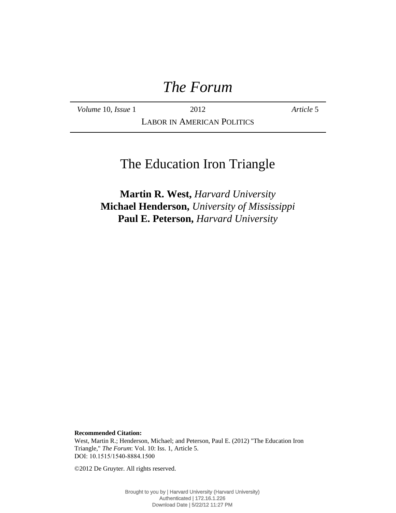# *The Forum*

*Volume* 10, *Issue* 1 2012 *Article* 5

LABOR IN AMERICAN POLITICS

# The Education Iron Triangle

**Martin R. West,** *Harvard University* **Michael Henderson,** *University of Mississippi* **Paul E. Peterson,** *Harvard University*

**Recommended Citation:**

West, Martin R.; Henderson, Michael; and Peterson, Paul E. (2012) "The Education Iron Triangle," *The Forum*: Vol. 10: Iss. 1, Article 5. DOI: 10.1515/1540-8884.1500

©2012 De Gruyter. All rights reserved.

Brought to you by | Harvard University (Harvard University) Authenticated | 172.16.1.226 Download Date | 5/22/12 11:27 PM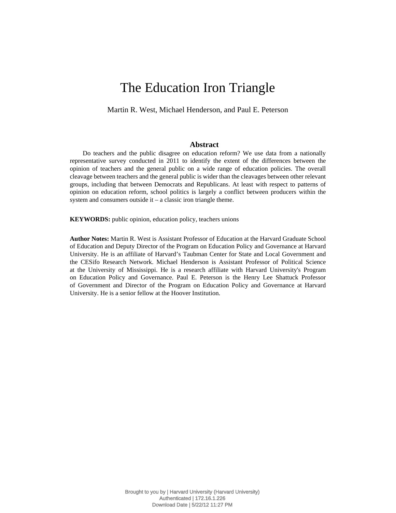# The Education Iron Triangle

Martin R. West, Michael Henderson, and Paul E. Peterson

#### **Abstract**

Do teachers and the public disagree on education reform? We use data from a nationally representative survey conducted in 2011 to identify the extent of the differences between the opinion of teachers and the general public on a wide range of education policies. The overall cleavage between teachers and the general public is wider than the cleavages between other relevant groups, including that between Democrats and Republicans. At least with respect to patterns of opinion on education reform, school politics is largely a conflict between producers within the system and consumers outside it – a classic iron triangle theme.

**KEYWORDS:** public opinion, education policy, teachers unions

**Author Notes:** Martin R. West is Assistant Professor of Education at the Harvard Graduate School of Education and Deputy Director of the Program on Education Policy and Governance at Harvard University. He is an affiliate of Harvard's Taubman Center for State and Local Government and the CESifo Research Network. Michael Henderson is Assistant Professor of Political Science at the University of Mississippi. He is a research affiliate with Harvard University's Program on Education Policy and Governance. Paul E. Peterson is the Henry Lee Shattuck Professor of Government and Director of the Program on Education Policy and Governance at Harvard University. He is a senior fellow at the Hoover Institution.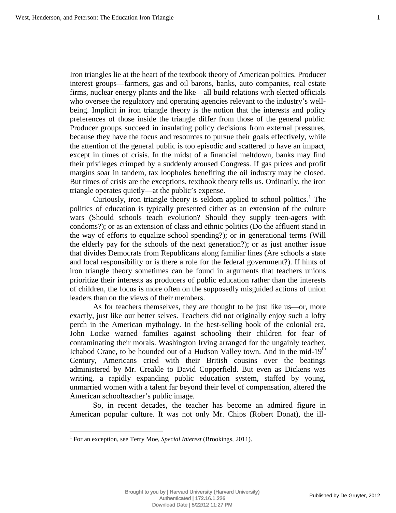Iron triangles lie at the heart of the textbook theory of American politics. Producer interest groups—farmers, gas and oil barons, banks, auto companies, real estate firms, nuclear energy plants and the like—all build relations with elected officials who oversee the regulatory and operating agencies relevant to the industry's wellbeing. Implicit in iron triangle theory is the notion that the interests and policy preferences of those inside the triangle differ from those of the general public. Producer groups succeed in insulating policy decisions from external pressures, because they have the focus and resources to pursue their goals effectively, while the attention of the general public is too episodic and scattered to have an impact, except in times of crisis. In the midst of a financial meltdown, banks may find their privileges crimped by a suddenly aroused Congress. If gas prices and profit margins soar in tandem, tax loopholes benefiting the oil industry may be closed. But times of crisis are the exceptions, textbook theory tells us. Ordinarily, the iron triangle operates quietly—at the public's expense.

Curiously, iron triangle theory is seldom applied to school politics.<sup>[1](#page-2-0)</sup> The politics of education is typically presented either as an extension of the culture wars (Should schools teach evolution? Should they supply teen-agers with condoms?); or as an extension of class and ethnic politics (Do the affluent stand in the way of efforts to equalize school spending?); or in generational terms (Will the elderly pay for the schools of the next generation?); or as just another issue that divides Democrats from Republicans along familiar lines (Are schools a state and local responsibility or is there a role for the federal government?). If hints of iron triangle theory sometimes can be found in arguments that teachers unions prioritize their interests as producers of public education rather than the interests of children, the focus is more often on the supposedly misguided actions of union leaders than on the views of their members.

As for teachers themselves, they are thought to be just like us—or, more exactly, just like our better selves. Teachers did not originally enjoy such a lofty perch in the American mythology. In the best-selling book of the colonial era, John Locke warned families against schooling their children for fear of contaminating their morals. Washington Irving arranged for the ungainly teacher, Ichabod Crane, to be hounded out of a Hudson Valley town. And in the mid-19 $^{\text{th}}$ Century, Americans cried with their British cousins over the beatings administered by Mr. Creakle to David Copperfield. But even as Dickens was writing, a rapidly expanding public education system, staffed by young, unmarried women with a talent far beyond their level of compensation, altered the American schoolteacher's public image.

So, in recent decades, the teacher has become an admired figure in American popular culture. It was not only Mr. Chips (Robert Donat), the ill-

<span id="page-2-0"></span><sup>1</sup> For an exception, see Terry Moe, *Special Interest* (Brookings, 2011).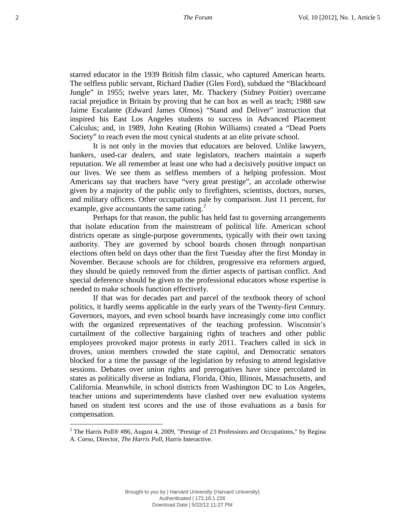starred educator in the 1939 British film classic, who captured American hearts. The selfless public servant, Richard Dadier (Glen Ford), subdued the "Blackboard Jungle" in 1955; twelve years later, Mr. Thackery (Sidney Poitier) overcame racial prejudice in Britain by proving that he can box as well as teach; 1988 saw Jaime Escalante (Edward James Olmos) "Stand and Deliver" instruction that inspired his East Los Angeles students to success in Advanced Placement Calculus; and, in 1989, John Keating (Robin Williams) created a "Dead Poets Society" to reach even the most cynical students at an elite private school.

It is not only in the movies that educators are beloved. Unlike lawyers, bankers, used-car dealers, and state legislators, teachers maintain a superb reputation. We all remember at least one who had a decisively positive impact on our lives. We see them as selfless members of a helping profession. Most Americans say that teachers have "very great prestige", an accolade otherwise given by a majority of the public only to firefighters, scientists, doctors, nurses, and military officers. Other occupations pale by comparison. Just 11 percent, for example, give accountants the same rating. $^{2}$  $^{2}$  $^{2}$ 

Perhaps for that reason, the public has held fast to governing arrangements that isolate education from the mainstream of political life. American school districts operate as single-purpose governments, typically with their own taxing authority. They are governed by school boards chosen through nonpartisan elections often held on days other than the first Tuesday after the first Monday in November. Because schools are for children, progressive era reformers argued, they should be quietly removed from the dirtier aspects of partisan conflict. And special deference should be given to the professional educators whose expertise is needed to make schools function effectively.

If that was for decades part and parcel of the textbook theory of school politics, it hardly seems applicable in the early years of the Twenty-first Century. Governors, mayors, and even school boards have increasingly come into conflict with the organized representatives of the teaching profession. Wisconsin's curtailment of the collective bargaining rights of teachers and other public employees provoked major protests in early 2011. Teachers called in sick in droves, union members crowded the state capitol, and Democratic senators blocked for a time the passage of the legislation by refusing to attend legislative sessions. Debates over union rights and prerogatives have since percolated in states as politically diverse as Indiana, Florida, Ohio, Illinois, Massachusetts, and California. Meanwhile, in school districts from Washington DC to Los Angeles, teacher unions and superintendents have clashed over new evaluation systems based on student test scores and the use of those evaluations as a basis for compensation.

<span id="page-3-0"></span><sup>&</sup>lt;sup>2</sup> The Harris Poll® #86, August 4, 2009, "Prestige of 23 Professions and Occupations," by Regina A. Corso, Director, *The Harris Poll*, Harris Interactive.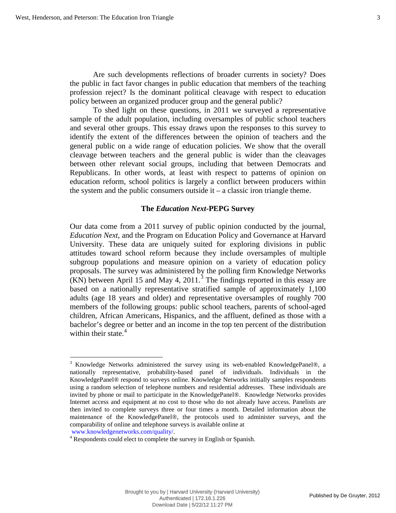$\overline{a}$ 

Are such developments reflections of broader currents in society? Does the public in fact favor changes in public education that members of the teaching profession reject? Is the dominant political cleavage with respect to education policy between an organized producer group and the general public?

To shed light on these questions, in 2011 we surveyed a representative sample of the adult population, including oversamples of public school teachers and several other groups. This essay draws upon the responses to this survey to identify the extent of the differences between the opinion of teachers and the general public on a wide range of education policies. We show that the overall cleavage between teachers and the general public is wider than the cleavages between other relevant social groups, including that between Democrats and Republicans. In other words, at least with respect to patterns of opinion on education reform, school politics is largely a conflict between producers within the system and the public consumers outside it – a classic iron triangle theme.

#### **The** *Education Next***-PEPG Survey**

Our data come from a 2011 survey of public opinion conducted by the journal, *Education Next,* and the Program on Education Policy and Governance at Harvard University. These data are uniquely suited for exploring divisions in public attitudes toward school reform because they include oversamples of multiple subgroup populations and measure opinion on a variety of education policy proposals. The survey was administered by the polling firm Knowledge Networks  $(KN)$  between April 15 and May 4, 2011.<sup>[3](#page-4-0)</sup> The findings reported in this essay are based on a nationally representative stratified sample of approximately 1,100 adults (age 18 years and older) and representative oversamples of roughly 700 members of the following groups: public school teachers, parents of school-aged children, African Americans, Hispanics, and the affluent, defined as those with a bachelor's degree or better and an income in the top ten percent of the distribution within their state.<sup>[4](#page-4-1)</sup>

<span id="page-4-0"></span><sup>&</sup>lt;sup>3</sup> Knowledge Networks administered the survey using its web-enabled KnowledgePanel®, a nationally representative, probability-based panel of individuals. Individuals in the KnowledgePanel® respond to surveys online. Knowledge Networks initially samples respondents using a random selection of telephone numbers and residential addresses. These individuals are invited by phone or mail to participate in the KnowledgePanel®. Knowledge Networks provides Internet access and equipment at no cost to those who do not already have access. Panelists are then invited to complete surveys three or four times a month. Detailed information about the maintenance of the KnowledgePanel®, the protocols used to administer surveys, and the comparability of online and telephone surveys is available online at www.knowledgenetworks.com/quality/.

<span id="page-4-1"></span><sup>&</sup>lt;sup>[4](http://www.knowledgenetworks.com/quality/)</sup> Respondents could elect to complete the survey in English or Spanish.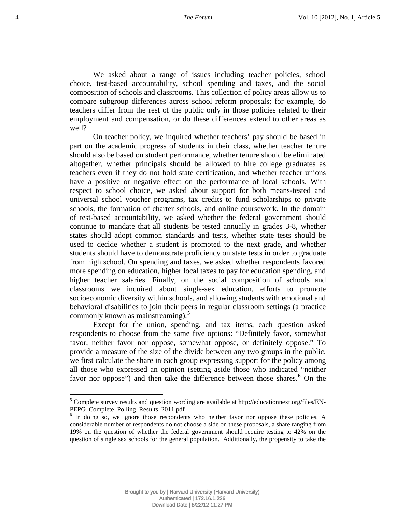We asked about a range of issues including teacher policies, school choice, test-based accountability, school spending and taxes, and the social composition of schools and classrooms. This collection of policy areas allow us to compare subgroup differences across school reform proposals; for example, do teachers differ from the rest of the public only in those policies related to their employment and compensation, or do these differences extend to other areas as well?

On teacher policy, we inquired whether teachers' pay should be based in part on the academic progress of students in their class, whether teacher tenure should also be based on student performance, whether tenure should be eliminated altogether, whether principals should be allowed to hire college graduates as teachers even if they do not hold state certification, and whether teacher unions have a positive or negative effect on the performance of local schools. With respect to school choice, we asked about support for both means-tested and universal school voucher programs, tax credits to fund scholarships to private schools, the formation of charter schools, and online coursework. In the domain of test-based accountability, we asked whether the federal government should continue to mandate that all students be tested annually in grades 3-8, whether states should adopt common standards and tests, whether state tests should be used to decide whether a student is promoted to the next grade, and whether students should have to demonstrate proficiency on state tests in order to graduate from high school. On spending and taxes, we asked whether respondents favored more spending on education, higher local taxes to pay for education spending, and higher teacher salaries. Finally, on the social composition of schools and classrooms we inquired about single-sex education, efforts to promote socioeconomic diversity within schools, and allowing students with emotional and behavioral disabilities to join their peers in regular classroom settings (a practice commonly known as mainstreaming).<sup>[5](#page-5-0)</sup>

Except for the union, spending, and tax items, each question asked respondents to choose from the same five options: "Definitely favor, somewhat favor, neither favor nor oppose, somewhat oppose, or definitely oppose." To provide a measure of the size of the divide between any two groups in the public, we first calculate the share in each group expressing support for the policy among all those who expressed an opinion (setting aside those who indicated "neither favor nor oppose") and then take the difference between those shares.<sup>[6](#page-5-1)</sup> On the

<span id="page-5-0"></span><sup>&</sup>lt;sup>5</sup> Complete survey results and question wording are available at http://educationnext.org/files/EN-PEPG\_Complete\_Polling\_Results\_2011.pdf

<span id="page-5-1"></span><sup>&</sup>lt;sup>6</sup> In doing so, we ignore those respondents who neither favor nor oppose these policies. A considerable number of respondents do not choose a side on these proposals, a share ranging from 19% on the question of whether the federal government should require testing to 42% on the question of single sex schools for the general population. Additionally, the propensity to take the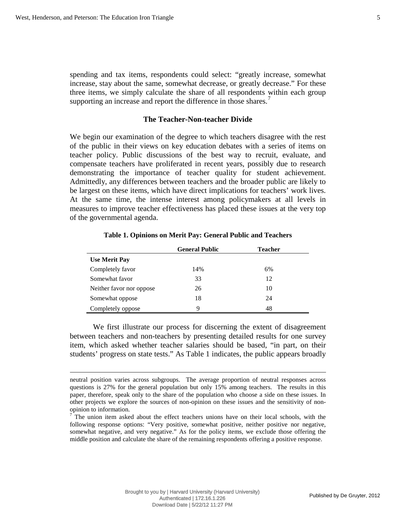$\overline{a}$ 

spending and tax items, respondents could select: "greatly increase, somewhat increase, stay about the same, somewhat decrease, or greatly decrease." For these three items, we simply calculate the share of all respondents within each group supporting an increase and report the difference in those shares.<sup>[7](#page-6-0)</sup>

### **The Teacher-Non-teacher Divide**

We begin our examination of the degree to which teachers disagree with the rest of the public in their views on key education debates with a series of items on teacher policy. Public discussions of the best way to recruit, evaluate, and compensate teachers have proliferated in recent years, possibly due to research demonstrating the importance of teacher quality for student achievement. Admittedly, any differences between teachers and the broader public are likely to be largest on these items, which have direct implications for teachers' work lives. At the same time, the intense interest among policymakers at all levels in measures to improve teacher effectiveness has placed these issues at the very top of the governmental agenda.

|                           | <b>General Public</b> | <b>Teacher</b> |  |
|---------------------------|-----------------------|----------------|--|
| <b>Use Merit Pay</b>      |                       |                |  |
| Completely favor          | 14%                   | 6%             |  |
| Somewhat favor            | 33                    | 12             |  |
| Neither favor nor oppose. | 26                    | 10             |  |
| Somewhat oppose           | 18                    | 24             |  |
| Completely oppose         | Q                     | 48             |  |

#### **Table 1. Opinions on Merit Pay: General Public and Teachers**

We first illustrate our process for discerning the extent of disagreement between teachers and non-teachers by presenting detailed results for one survey item, which asked whether teacher salaries should be based, "in part, on their students' progress on state tests." As Table 1 indicates, the public appears broadly

neutral position varies across subgroups. The average proportion of neutral responses across questions is 27% for the general population but only 15% among teachers. The results in this paper, therefore, speak only to the share of the population who choose a side on these issues. In other projects we explore the sources of non-opinion on these issues and the sensitivity of nonopinion to information.

<span id="page-6-0"></span> $<sup>7</sup>$  The union item asked about the effect teachers unions have on their local schools, with the</sup> following response options: "Very positive, somewhat positive, neither positive nor negative, somewhat negative, and very negative." As for the policy items, we exclude those offering the middle position and calculate the share of the remaining respondents offering a positive response.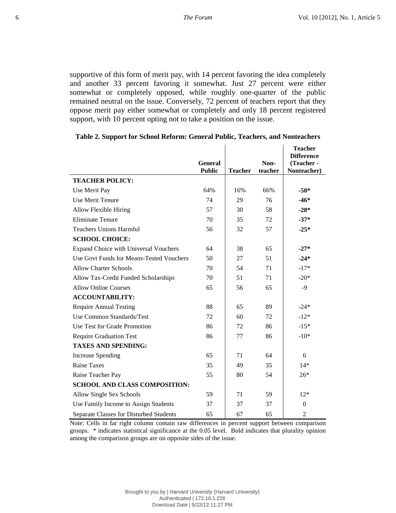supportive of this form of merit pay, with 14 percent favoring the idea completely and another 33 percent favoring it somewhat. Just 27 percent were either somewhat or completely opposed, while roughly one-quarter of the public remained neutral on the issue. Conversely, 72 percent of teachers report that they oppose merit pay either somewhat or completely and only 18 percent registered support, with 10 percent opting not to take a position on the issue.

|                                          | <b>General</b> |                | Non-    | <b>Teacher</b><br><b>Difference</b><br>(Teacher- |
|------------------------------------------|----------------|----------------|---------|--------------------------------------------------|
|                                          | <b>Public</b>  | <b>Teacher</b> | teacher | Nonteacher)                                      |
| <b>TEACHER POLICY:</b>                   |                |                |         |                                                  |
| Use Merit Pay                            | 64%            | 16%            | 66%     | $-50*$                                           |
| Use Merit Tenure                         | 74             | 29             | 76      | $-46*$                                           |
| Allow Flexible Hiring                    | 57             | 30             | 58      | $-28*$                                           |
| <b>Eliminate Tenure</b>                  | 70             | 35             | 72      | $-37*$                                           |
| <b>Teachers Unions Harmful</b>           | 56             | 32             | 57      | $-25*$                                           |
| <b>SCHOOL CHOICE:</b>                    |                |                |         |                                                  |
| Expand Choice with Universal Vouchers    | 64             | 38             | 65      | $-27*$                                           |
| Use Govt Funds for Means-Tested Vouchers | 50             | 27             | 51      | $-24*$                                           |
| <b>Allow Charter Schools</b>             | 70             | 54             | 71      | $-17*$                                           |
| Allow Tax-Credit Funded Scholarships     | 70             | 51             | 71      | $-20*$                                           |
| <b>Allow Online Courses</b>              | 65             | 56             | 65      | $-9$                                             |
| <b>ACCOUNTABILITY:</b>                   |                |                |         |                                                  |
| <b>Require Annual Testing</b>            | 88             | 65             | 89      | $-24*$                                           |
| <b>Use Common Standards/Test</b>         | 72             | 60             | 72      | $-12*$                                           |
| Use Test for Grade Promotion             | 86             | 72             | 86      | $-15*$                                           |
| <b>Require Graduation Test</b>           | 86             | 77             | 86      | $-10*$                                           |
| <b>TAXES AND SPENDING:</b>               |                |                |         |                                                  |
| <b>Increase Spending</b>                 | 65             | 71             | 64      | 6                                                |
| <b>Raise Taxes</b>                       | 35             | 49             | 35      | $14*$                                            |
| Raise Teacher Pay                        | 55             | 80             | 54      | $26*$                                            |
| <b>SCHOOL AND CLASS COMPOSITION:</b>     |                |                |         |                                                  |
| Allow Single Sex Schools                 | 59             | 71             | 59      | $12*$                                            |
| Use Family Income to Assign Students     | 37             | 37             | 37      | $\theta$                                         |
| Separate Classes for Disturbed Students  | 65             | 67             | 65      | $\overline{2}$                                   |

| Table 2. Support for School Reform: General Public, Teachers, and Nonteachers |  |  |
|-------------------------------------------------------------------------------|--|--|
|-------------------------------------------------------------------------------|--|--|

Note: Cells in far right column contain raw differences in percent support between comparison groups. \* indicates statistical significance at the 0.05 level. Bold indicates that plurality opinion among the comparison groups are on opposite sides of the issue.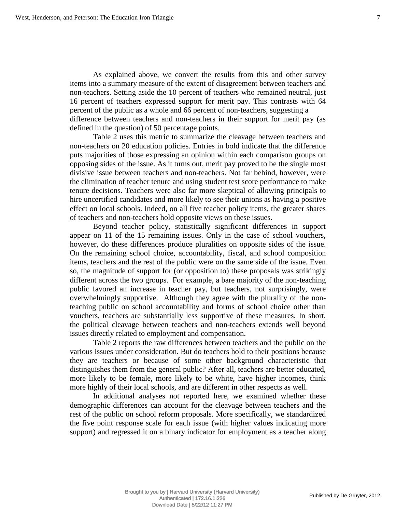As explained above, we convert the results from this and other survey items into a summary measure of the extent of disagreement between teachers and non-teachers. Setting aside the 10 percent of teachers who remained neutral, just 16 percent of teachers expressed support for merit pay. This contrasts with 64 percent of the public as a whole and 66 percent of non-teachers, suggesting a difference between teachers and non-teachers in their support for merit pay (as defined in the question) of 50 percentage points.

Table 2 uses this metric to summarize the cleavage between teachers and non-teachers on 20 education policies. Entries in bold indicate that the difference puts majorities of those expressing an opinion within each comparison groups on opposing sides of the issue. As it turns out, merit pay proved to be the single most divisive issue between teachers and non-teachers. Not far behind, however, were the elimination of teacher tenure and using student test score performance to make tenure decisions. Teachers were also far more skeptical of allowing principals to hire uncertified candidates and more likely to see their unions as having a positive effect on local schools. Indeed, on all five teacher policy items, the greater shares of teachers and non-teachers hold opposite views on these issues.

Beyond teacher policy, statistically significant differences in support appear on 11 of the 15 remaining issues. Only in the case of school vouchers, however, do these differences produce pluralities on opposite sides of the issue. On the remaining school choice, accountability, fiscal, and school composition items, teachers and the rest of the public were on the same side of the issue. Even so, the magnitude of support for (or opposition to) these proposals was strikingly different across the two groups. For example, a bare majority of the non-teaching public favored an increase in teacher pay, but teachers, not surprisingly, were overwhelmingly supportive. Although they agree with the plurality of the nonteaching public on school accountability and forms of school choice other than vouchers, teachers are substantially less supportive of these measures. In short, the political cleavage between teachers and non-teachers extends well beyond issues directly related to employment and compensation.

Table 2 reports the raw differences between teachers and the public on the various issues under consideration. But do teachers hold to their positions because they are teachers or because of some other background characteristic that distinguishes them from the general public? After all, teachers are better educated, more likely to be female, more likely to be white, have higher incomes, think more highly of their local schools, and are different in other respects as well.

In additional analyses not reported here, we examined whether these demographic differences can account for the cleavage between teachers and the rest of the public on school reform proposals. More specifically, we standardized the five point response scale for each issue (with higher values indicating more support) and regressed it on a binary indicator for employment as a teacher along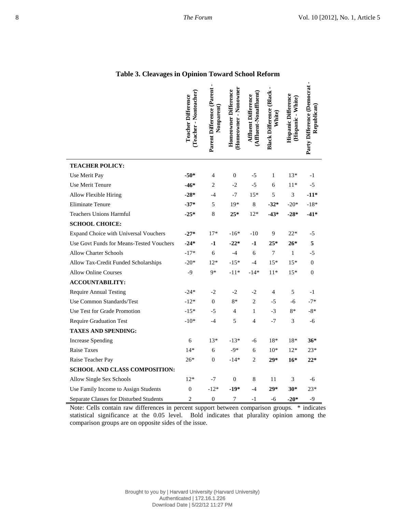|                                          | (Teacher - Nonteacher)<br><b>Teacher Difference</b> | Parent Difference (Parent<br>Nonparent) | Homeowner - Nonowner<br>Homeowner Difference | (Affluent-Nonaffluent)<br><b>Affluent Difference</b> | <b>Black Difference (Black</b><br>White) | <b>Hispanic Difference</b><br>(Hispanic - White) | Party Difference (Democrat -<br>Republican) |
|------------------------------------------|-----------------------------------------------------|-----------------------------------------|----------------------------------------------|------------------------------------------------------|------------------------------------------|--------------------------------------------------|---------------------------------------------|
| <b>TEACHER POLICY:</b>                   |                                                     |                                         |                                              |                                                      |                                          |                                                  |                                             |
| Use Merit Pay                            | $-50*$                                              | 4                                       | $\boldsymbol{0}$                             | $-5$                                                 | $\mathbf{1}$                             | $13*$                                            | $-1$                                        |
| Use Merit Tenure                         | $-46*$                                              | 2                                       | $-2$                                         | $-5$                                                 | 6                                        | $11*$                                            | $-5$                                        |
| Allow Flexible Hiring                    | $-28*$                                              | $-4$                                    | $-7$                                         | $15*$                                                | 5                                        | 3                                                | $-11*$                                      |
| <b>Eliminate Tenure</b>                  | $-37*$                                              | 5                                       | $19*$                                        | 8                                                    | $-32*$                                   | $-20*$                                           | $-18*$                                      |
| Teachers Unions Harmful                  | $-25*$                                              | 8                                       | $25*$                                        | $12*$                                                | $-43*$                                   | $-28*$                                           | $-41*$                                      |
| <b>SCHOOL CHOICE:</b>                    |                                                     |                                         |                                              |                                                      |                                          |                                                  |                                             |
| Expand Choice with Universal Vouchers    | $-27*$                                              | $17*$                                   | $-16*$                                       | $-10$                                                | $\mathbf{9}$                             | $22*$                                            | $-5$                                        |
| Use Govt Funds for Means-Tested Vouchers | $-24*$                                              | $-1$                                    | $-22*$                                       | $-1$                                                 | $25*$                                    | $26*$                                            | 5                                           |
| Allow Charter Schools                    | $-17*$                                              | 6                                       | $-4$                                         | 6                                                    | $\boldsymbol{7}$                         | $\mathbf{1}$                                     | $-5$                                        |
| Allow Tax-Credit Funded Scholarships     | $-20*$                                              | $12*$                                   | $-15*$                                       | $-4$                                                 | $15*$                                    | $15*$                                            | $\boldsymbol{0}$                            |
| <b>Allow Online Courses</b>              | $-9$                                                | 9*                                      | $-11*$                                       | $-14*$                                               | $11*$                                    | $15*$                                            | $\boldsymbol{0}$                            |
| <b>ACCOUNTABILITY:</b>                   |                                                     |                                         |                                              |                                                      |                                          |                                                  |                                             |
| <b>Require Annual Testing</b>            | $-24*$                                              | $-2$                                    | $-2$                                         | $-2$                                                 | $\overline{4}$                           | 5                                                | $-1$                                        |
| Use Common Standards/Test                | $-12*$                                              | $\overline{0}$                          | $8*$                                         | 2                                                    | $-5$                                     | -6                                               | $-7*$                                       |
| Use Test for Grade Promotion             | $-15*$                                              | $-5$                                    | 4                                            | $\mathbf{1}$                                         | $-3$                                     | 8*                                               | $\text{-}8\text{*}$                         |
| <b>Require Graduation Test</b>           | $-10*$                                              | $-4$                                    | 5                                            | $\overline{4}$                                       | $-7$                                     | 3                                                | $-6$                                        |
| <b>TAXES AND SPENDING:</b>               |                                                     |                                         |                                              |                                                      |                                          |                                                  |                                             |
| <b>Increase Spending</b>                 | 6                                                   | $13*$                                   | $-13*$                                       | -6                                                   | $18\,^*$                                 | 18*                                              | $36*$                                       |
| <b>Raise Taxes</b>                       | $14*$                                               | 6                                       | $-9*$                                        | 6                                                    | $10*$                                    | $12*$                                            | $23*$                                       |
| Raise Teacher Pay                        | $26*$                                               | $\overline{0}$                          | $-14*$                                       | $\overline{c}$                                       | $29*$                                    | $16*$                                            | $22*$                                       |
| <b>SCHOOL AND CLASS COMPOSITION:</b>     |                                                     |                                         |                                              |                                                      |                                          |                                                  |                                             |
| Allow Single Sex Schools                 | $12*$                                               | $-7$                                    | $\boldsymbol{0}$                             | 8                                                    | 11                                       | $\mathfrak{Z}$                                   | $-6$                                        |
| Use Family Income to Assign Students     | $\mathbf{0}$                                        | $-12*$                                  | $-19*$                                       | -4                                                   | $29*$                                    | $30*$                                            | $23*$                                       |
| Separate Classes for Disturbed Students  | $\overline{2}$                                      | $\boldsymbol{0}$                        | 7                                            | $-1$                                                 | -6                                       | $-20*$                                           | $-9$                                        |

#### **Table 3. Cleavages in Opinion Toward School Reform**

Note: Cells contain raw differences in percent support between comparison groups. \* indicates statistical significance at the 0.05 level. Bold indicates that plurality opinion among the comparison groups are on opposite sides of the issue.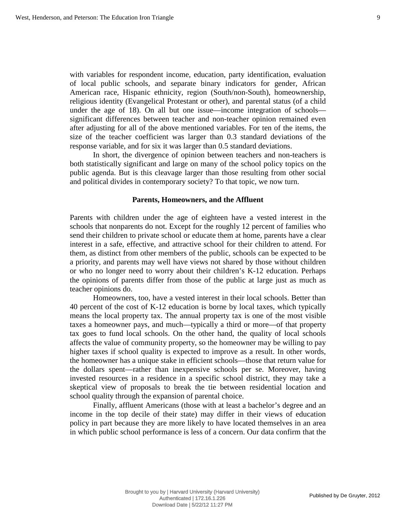with variables for respondent income, education, party identification, evaluation of local public schools, and separate binary indicators for gender, African American race, Hispanic ethnicity, region (South/non-South), homeownership, religious identity (Evangelical Protestant or other), and parental status (of a child under the age of 18). On all but one issue—income integration of schools significant differences between teacher and non-teacher opinion remained even after adjusting for all of the above mentioned variables. For ten of the items, the size of the teacher coefficient was larger than 0.3 standard deviations of the response variable, and for six it was larger than 0.5 standard deviations.

In short, the divergence of opinion between teachers and non-teachers is both statistically significant and large on many of the school policy topics on the public agenda. But is this cleavage larger than those resulting from other social and political divides in contemporary society? To that topic, we now turn.

#### **Parents, Homeowners, and the Affluent**

Parents with children under the age of eighteen have a vested interest in the schools that nonparents do not. Except for the roughly 12 percent of families who send their children to private school or educate them at home, parents have a clear interest in a safe, effective, and attractive school for their children to attend. For them, as distinct from other members of the public, schools can be expected to be a priority, and parents may well have views not shared by those without children or who no longer need to worry about their children's K-12 education. Perhaps the opinions of parents differ from those of the public at large just as much as teacher opinions do.

Homeowners, too, have a vested interest in their local schools. Better than 40 percent of the cost of K-12 education is borne by local taxes, which typically means the local property tax. The annual property tax is one of the most visible taxes a homeowner pays, and much—typically a third or more—of that property tax goes to fund local schools. On the other hand, the quality of local schools affects the value of community property, so the homeowner may be willing to pay higher taxes if school quality is expected to improve as a result. In other words, the homeowner has a unique stake in efficient schools—those that return value for the dollars spent—rather than inexpensive schools per se. Moreover, having invested resources in a residence in a specific school district, they may take a skeptical view of proposals to break the tie between residential location and school quality through the expansion of parental choice.

Finally, affluent Americans (those with at least a bachelor's degree and an income in the top decile of their state) may differ in their views of education policy in part because they are more likely to have located themselves in an area in which public school performance is less of a concern. Our data confirm that the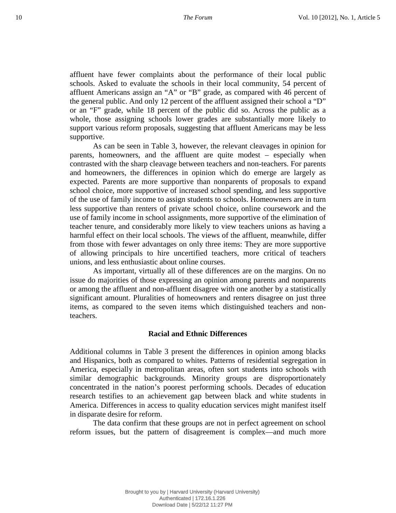affluent have fewer complaints about the performance of their local public schools. Asked to evaluate the schools in their local community, 54 percent of affluent Americans assign an "A" or "B" grade, as compared with 46 percent of the general public. And only 12 percent of the affluent assigned their school a "D" or an "F" grade, while 18 percent of the public did so. Across the public as a whole, those assigning schools lower grades are substantially more likely to support various reform proposals, suggesting that affluent Americans may be less supportive.

As can be seen in Table 3, however, the relevant cleavages in opinion for parents, homeowners, and the affluent are quite modest – especially when contrasted with the sharp cleavage between teachers and non-teachers. For parents and homeowners, the differences in opinion which do emerge are largely as expected. Parents are more supportive than nonparents of proposals to expand school choice, more supportive of increased school spending, and less supportive of the use of family income to assign students to schools. Homeowners are in turn less supportive than renters of private school choice, online coursework and the use of family income in school assignments, more supportive of the elimination of teacher tenure, and considerably more likely to view teachers unions as having a harmful effect on their local schools. The views of the affluent, meanwhile, differ from those with fewer advantages on only three items: They are more supportive of allowing principals to hire uncertified teachers, more critical of teachers unions, and less enthusiastic about online courses.

As important, virtually all of these differences are on the margins. On no issue do majorities of those expressing an opinion among parents and nonparents or among the affluent and non-affluent disagree with one another by a statistically significant amount. Pluralities of homeowners and renters disagree on just three items, as compared to the seven items which distinguished teachers and nonteachers.

## **Racial and Ethnic Differences**

Additional columns in Table 3 present the differences in opinion among blacks and Hispanics, both as compared to whites. Patterns of residential segregation in America, especially in metropolitan areas, often sort students into schools with similar demographic backgrounds. Minority groups are disproportionately concentrated in the nation's poorest performing schools. Decades of education research testifies to an achievement gap between black and white students in America. Differences in access to quality education services might manifest itself in disparate desire for reform.

The data confirm that these groups are not in perfect agreement on school reform issues, but the pattern of disagreement is complex—and much more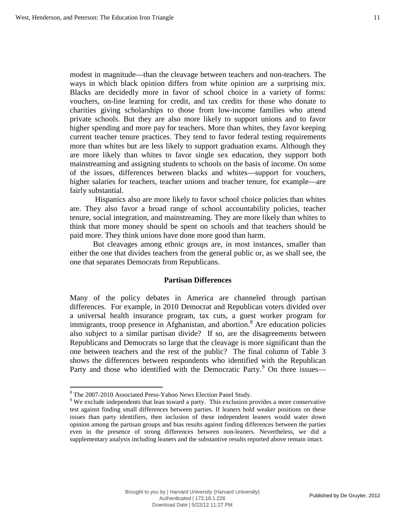modest in magnitude—than the cleavage between teachers and non-teachers. The ways in which black opinion differs from white opinion are a surprising mix. Blacks are decidedly more in favor of school choice in a variety of forms: vouchers, on-line learning for credit, and tax credits for those who donate to charities giving scholarships to those from low-income families who attend private schools. But they are also more likely to support unions and to favor higher spending and more pay for teachers. More than whites, they favor keeping current teacher tenure practices. They tend to favor federal testing requirements more than whites but are less likely to support graduation exams. Although they are more likely than whites to favor single sex education, they support both mainstreaming and assigning students to schools on the basis of income. On some of the issues, differences between blacks and whites—support for vouchers, higher salaries for teachers, teacher unions and teacher tenure, for example—are fairly substantial.

Hispanics also are more likely to favor school choice policies than whites are. They also favor a broad range of school accountability policies, teacher tenure, social integration, and mainstreaming. They are more likely than whites to think that more money should be spent on schools and that teachers should be paid more. They think unions have done more good than harm.

But cleavages among ethnic groups are, in most instances, smaller than either the one that divides teachers from the general public or, as we shall see, the one that separates Democrats from Republicans.

#### **Partisan Differences**

Many of the policy debates in America are channeled through partisan differences. For example, in 2010 Democrat and Republican voters divided over a universal health insurance program, tax cuts, a guest worker program for immigrants, troop presence in Afghanistan, and abortion.<sup>[8](#page-12-0)</sup> Are education policies also subject to a similar partisan divide? If so, are the disagreements between Republicans and Democrats so large that the cleavage is more significant than the one between teachers and the rest of the public? The final column of Table 3 shows the differences between respondents who identified with the Republican Party and those who identified with the Democratic Party.<sup>[9](#page-12-1)</sup> On three issues—

<span id="page-12-0"></span><sup>8</sup> The 2007-2010 Associated Press-Yahoo News Election Panel Study.

<span id="page-12-1"></span><sup>&</sup>lt;sup>9</sup> We exclude independents that lean toward a party. This exclusion provides a more conservative test against finding small differences between parties. If leaners hold weaker positions on these issues than party identifiers, then inclusion of these independent leaners would water down opinion among the partisan groups and bias results against finding differences between the parties even in the presence of strong differences between non-leaners. Nevertheless, we did a supplementary analysis including leaners and the substantive results reported above remain intact.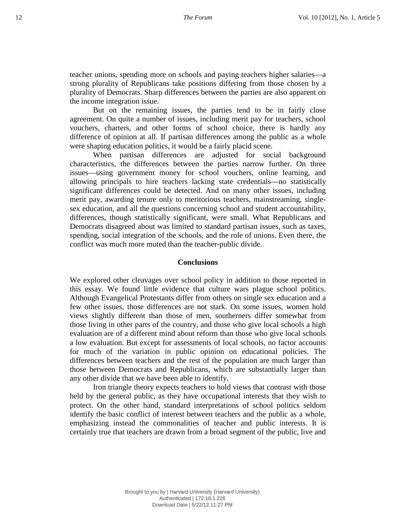teacher unions, spending more on schools and paying teachers higher salaries—a strong plurality of Republicans take positions differing from those chosen by a plurality of Democrats. Sharp differences between the parties are also apparent on the income integration issue.

But on the remaining issues, the parties tend to be in fairly close agreement. On quite a number of issues, including merit pay for teachers, school vouchers, charters, and other forms of school choice, there is hardly any difference of opinion at all. If partisan differences among the public as a whole were shaping education politics, it would be a fairly placid scene.

When partisan differences are adjusted for social background characteristics, the differences between the parties narrow further. On three issues—using government money for school vouchers, online learning, and allowing principals to hire teachers lacking state credentials—no statistically significant differences could be detected. And on many other issues, including merit pay, awarding tenure only to meritorious teachers, mainstreaming, singlesex education, and all the questions concerning school and student accountability, differences, though statistically significant, were small. What Republicans and Democrats disagreed about was limited to standard partisan issues, such as taxes, spending, social integration of the schools, and the role of unions. Even there, the conflict was much more muted than the teacher-public divide.

### **Conclusions**

We explored other cleavages over school policy in addition to those reported in this essay. We found little evidence that culture wars plague school politics. Although Evangelical Protestants differ from others on single sex education and a few other issues, those differences are not stark. On some issues, women hold views slightly different than those of men, southerners differ somewhat from those living in other parts of the country, and those who give local schools a high evaluation are of a different mind about reform than those who give local schools a low evaluation. But except for assessments of local schools, no factor accounts for much of the variation in public opinion on educational policies. The differences between teachers and the rest of the population are much larger than those between Democrats and Republicans, which are substantially larger than any other divide that we have been able to identify.

Iron triangle theory expects teachers to hold views that contrast with those held by the general public, as they have occupational interests that they wish to protect. On the other hand, standard interpretations of school politics seldom identify the basic conflict of interest between teachers and the public as a whole, emphasizing instead the commonalities of teacher and public interests. It is certainly true that teachers are drawn from a broad segment of the public, live and